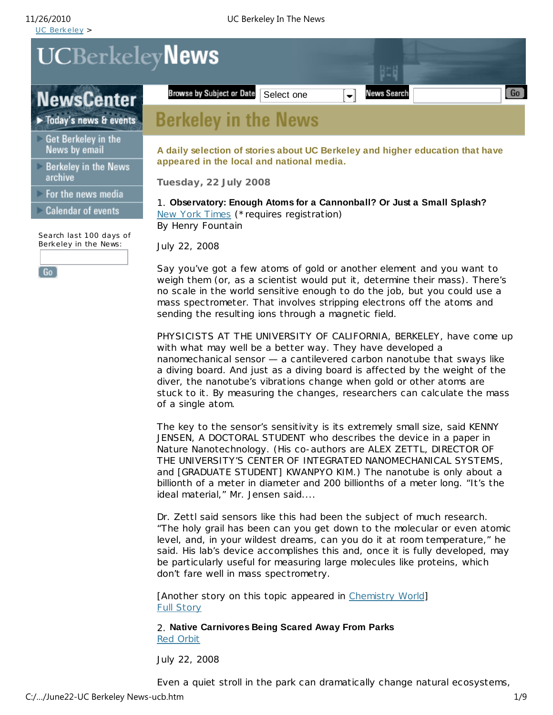UCBerkeleyNews

**NewsCenter** 

Today's news & events

- Get Berkeley in the News by email
- Berkeley in the News archive

For the news media

Calendar of events

Search last 100 days of Berkeley in the News:

 $[\,6o\,]$ 

**A daily selection of stories about UC Berkeley and higher education that have appeared in the local and national media.**

i li

News Search

Select one  $\left[\right.\right.\right.$ 

**Tuesday, 22 July 2008**

Browse by Subject or Date

**Berkeley in the News** 

1. **Observatory: Enough Atoms for a Cannonball? Or Just a Small Splash?** New York Times (\*requires registration) By Henry Fountain

July 22, 2008

Say you've got a few atoms of gold or another element and you want to weigh them (or, as a scientist would put it, determine their mass). There's no scale in the world sensitive enough to do the job, but you could use a mass spectrometer. That involves stripping electrons off the atoms and sending the resulting ions through a magnetic field.

PHYSICISTS AT THE UNIVERSITY OF CALIFORNIA, BERKELEY, have come up with what may well be a better way. They have developed a nanomechanical sensor — a cantilevered carbon nanotube that sways like a diving board. And just as a diving board is affec ted by the weight of the diver, the nanotube's vibrations change when gold or other atoms are stuck to it. By measuring the changes, researchers can calculate the mass of a single atom.

The key to the sensor's sensitivity is its extremely small size, said KENNY JENSEN, A DOCTORAL STUDENT who describes the device in a paper in Nature Nanotechnology. (His co-authors are ALEX ZETTL, DIRECTOR OF THE UNIVERSITY'S CENTER OF INTEGRATED NANOMECHANICAL SYSTEMS, and [GRADUATE STUDENT] KWANPYO KIM.) The nanotube is only about a billionth of a meter in diameter and 200 billionths of a meter long. "It's the ideal material," Mr. Jensen said....

Dr. Zettl said sensors like this had been the subject of much research. "The holy grail has been can you get down to the molecular or even atomic level, and, in your wildest dreams, can you do it at room temperature," he said. His lab's device accomplishes this and, once it is fully developed, may be particularly useful for measuring large molecules like proteins, which don't fare well in mass spectrometry.

[Another story on this topic appeared in Chemistry World] Full Story

2. **Native Carnivores Being Scared Away From Parks** Red Orbit

July 22, 2008

Even a quiet stroll in the park can dramatically change natural ecosystems,

Go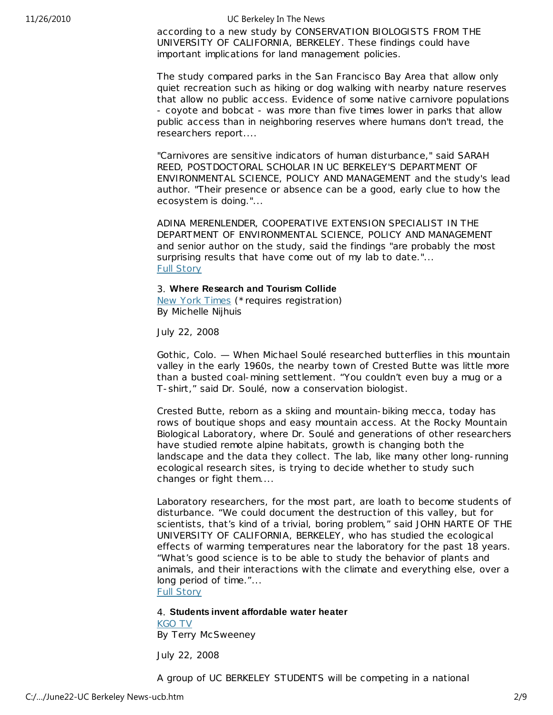according to a new study by CONSERVATION BIOLOGISTS FROM THE UNIVERSITY OF CALIFORNIA, BERKELEY. These findings could have important implications for land management policies.

The study compared parks in the San Francisco Bay Area that allow only quiet recreation such as hiking or dog walking with nearby nature reserves that allow no public access. Evidence of some native carnivore populations - coyote and bobcat - was more than five times lower in parks that allow public access than in neighboring reserves where humans don't tread, the researchers report....

"Carnivores are sensitive indicators of human disturbance," said SARAH REED, POSTDOCTORAL SCHOLAR IN UC BERKELEY'S DEPARTMENT OF ENVIRONMENTAL SCIENCE, POLICY AND MANAGEMENT and the study's lead author. "Their presence or absence can be a good, early clue to how the ecosystem is doing."...

ADINA MERENLENDER, COOPERATIVE EXTENSION SPECIALIST IN THE DEPARTMENT OF ENVIRONMENTAL SCIENCE, POLICY AND MANAGEMENT and senior author on the study, said the findings "are probably the most surprising results that have come out of my lab to date."... Full Story

### 3. **Where Research and Tourism Collide**

New York Times (\*requires registration) By Michelle Nijhuis

July 22, 2008

Gothic , Colo. — When Michael Soulé researched butterflies in this mountain valley in the early 1960s, the nearby town of Crested Butte was little more than a busted coal-mining settlement. "You couldn't even buy a mug or a T-shirt," said Dr. Soulé, now a conservation biologist.

Crested Butte, reborn as a skiing and mountain-biking mecca, today has rows of boutique shops and easy mountain access. At the Rocky Mountain Biological Laboratory, where Dr. Soulé and generations of other researchers have studied remote alpine habitats, growth is changing both the landscape and the data they collect. The lab, like many other long-running ecological research sites, is trying to decide whether to study such changes or fight them....

Laboratory researchers, for the most part, are loath to become students of disturbance. "We could document the destruction of this valley, but for scientists, that's kind of a trivial, boring problem," said JOHN HARTE OF THE UNIVERSITY OF CALIFORNIA, BERKELEY, who has studied the ecological effects of warming temperatures near the laboratory for the past 18 years. "What's good science is to be able to study the behavior of plants and animals, and their interactions with the climate and everything else, over a long period of time."...

Full Story

### 4. **Students invent affordable water heater**

KGO TV By Terry McSweeney

July 22, 2008

A group of UC BERKELEY STUDENTS will be competing in a national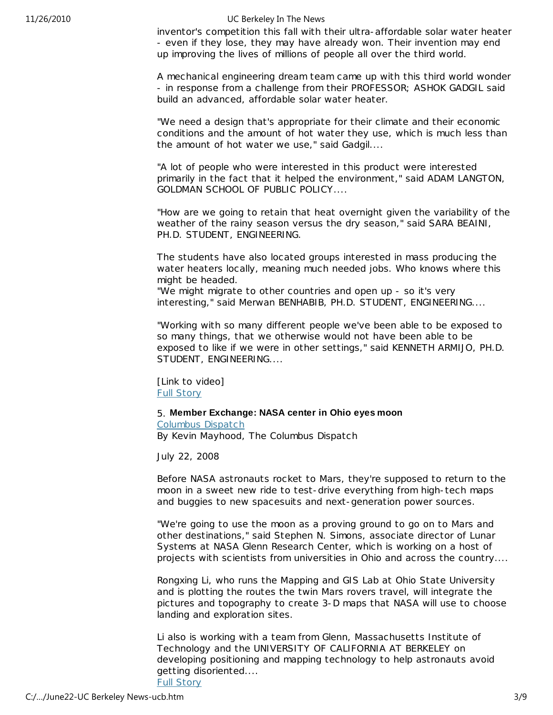inventor's competition this fall with their ultra-affordable solar water heater - even if they lose, they may have already won. Their invention may end up improving the lives of millions of people all over the third world.

A mechanical engineering dream team came up with this third world wonder - in response from a challenge from their PROFESSOR; ASHOK GADGIL said build an advanced, affordable solar water heater.

"We need a design that's appropriate for their climate and their economic conditions and the amount of hot water they use, which is much less than the amount of hot water we use," said Gadgil....

"A lot of people who were interested in this product were interested primarily in the fact that it helped the environment," said ADAM LANGTON, GOLDMAN SCHOOL OF PUBLIC POLICY....

"How are we going to retain that heat overnight given the variability of the weather of the rainy season versus the dry season," said SARA BEAINI, PH.D. STUDENT, ENGINEERING.

The students have also located groups interested in mass producing the water heaters locally, meaning much needed jobs. Who knows where this might be headed.

"We might migrate to other countries and open up - so it's very interesting," said Merwan BENHABIB, PH.D. STUDENT, ENGINEERING....

"Working with so many different people we've been able to be exposed to so many things, that we otherwise would not have been able to be exposed to like if we were in other settings," said KENNETH ARMIJO, PH.D. STUDENT, ENGINEERING....

[Link to video] Full Story

# 5. **Member Exchange: NASA center in Ohio eyes moon**

Columbus Dispatch By Kevin Mayhood, The Columbus Dispatch

July 22, 2008

Before NASA astronauts rocket to Mars, they're supposed to return to the moon in a sweet new ride to test-drive everything from high-tech maps and buggies to new spacesuits and next-generation power sources.

"We're going to use the moon as a proving ground to go on to Mars and other destinations," said Stephen N. Simons, associate direc tor of Lunar Systems at NASA Glenn Research Center, which is working on a host of projects with scientists from universities in Ohio and across the country....

Rongxing Li, who runs the Mapping and GIS Lab at Ohio State University and is plotting the routes the twin Mars rovers travel, will integrate the pictures and topography to create 3-D maps that NASA will use to choose landing and exploration sites.

Li also is working with a team from Glenn, Massachusetts Institute of Technology and the UNIVERSITY OF CALIFORNIA AT BERKELEY on developing positioning and mapping technology to help astronauts avoid getting disoriented....

Full Story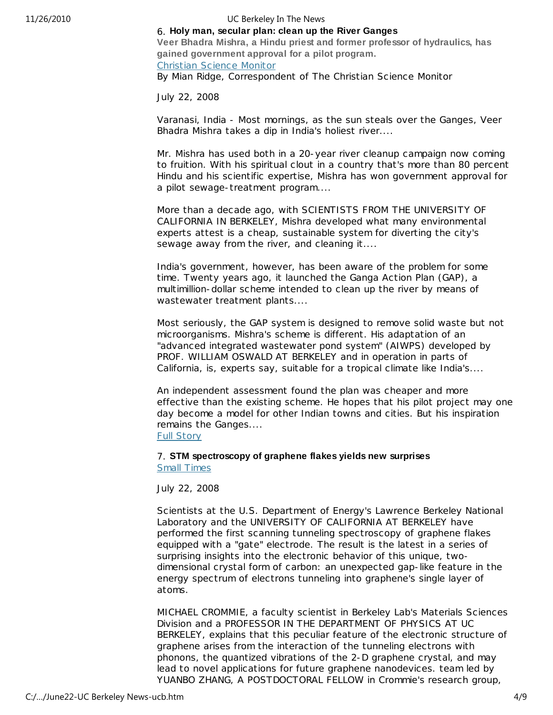# 6. **Holy man, secular plan: clean up the River Ganges**

**Veer Bhadra Mishra, a Hindu priest and former professor of hydraulics, has gained government approval for a pilot program.** Christian Science Monitor

By Mian Ridge, Correspondent of The Christian Science Monitor

July 22, 2008

Varanasi, India - Most mornings, as the sun steals over the Ganges, Veer Bhadra Mishra takes a dip in India's holiest river....

Mr. Mishra has used both in a 20-year river cleanup campaign now coming to fruition. With his spiritual clout in a country that's more than 80 percent Hindu and his scientific expertise, Mishra has won government approval for a pilot sewage-treatment program....

More than a decade ago, with SCIENTISTS FROM THE UNIVERSITY OF CALIFORNIA IN BERKELEY, Mishra developed what many environmental experts attest is a cheap, sustainable system for diverting the city's sewage away from the river, and cleaning it....

India's government, however, has been aware of the problem for some time. Twenty years ago, it launched the Ganga Action Plan (GAP), a multimillion-dollar scheme intended to clean up the river by means of wastewater treatment plants....

Most seriously, the GAP system is designed to remove solid waste but not microorganisms. Mishra's scheme is different. His adaptation of an "advanced integrated wastewater pond system" (AIWPS) developed by PROF. WILLIAM OSWALD AT BERKELEY and in operation in parts of California, is, experts say, suitable for a tropical climate like India's....

An independent assessment found the plan was cheaper and more effective than the existing scheme. He hopes that his pilot project may one day become a model for other Indian towns and cities. But his inspiration remains the Ganges....

Full Story

# 7. **STM spectroscopy of graphene flakes yields new surprises**  Small Times

July 22, 2008

Scientists at the U.S. Department of Energy's Lawrence Berkeley National Laboratory and the UNIVERSITY OF CALIFORNIA AT BERKELEY have performed the first scanning tunneling spectroscopy of graphene flakes equipped with a "gate" electrode. The result is the latest in a series of surprising insights into the electronic behavior of this unique, twodimensional crystal form of carbon: an unexpected gap-like feature in the energy spec trum of electrons tunneling into graphene's single layer of atoms.

MICHAEL CROMMIE, a faculty scientist in Berkeley Lab's Materials Sciences Division and a PROFESSOR IN THE DEPARTMENT OF PHYSICS AT UC BERKELEY, explains that this peculiar feature of the electronic structure of graphene arises from the interaction of the tunneling electrons with phonons, the quantized vibrations of the 2-D graphene crystal, and may lead to novel applications for future graphene nanodevices. team led by YUANBO ZHANG, A POSTDOCTORAL FELLOW in Crommie's research group,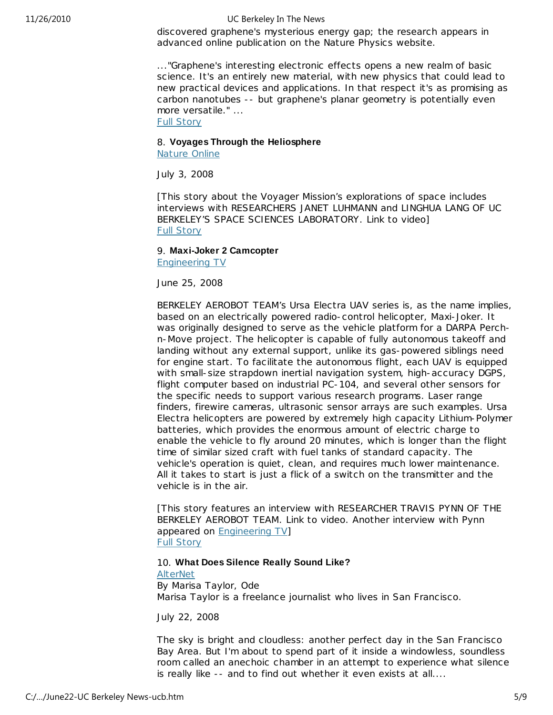discovered graphene's mysterious energy gap; the research appears in advanced online publication on the Nature Physics website.

..."Graphene's interesting electronic effects opens a new realm of basic science. It's an entirely new material, with new physics that could lead to new practical devices and applications. In that respect it's as promising as carbon nanotubes -- but graphene's planar geometry is potentially even more versatile." ...

Full Story

# 8. **Voyages Through the Heliosphere**

Nature Online

July 3, 2008

[This story about the Voyager Mission's explorations of space includes interviews with RESEARCHERS JANET LUHMANN and LINGHUA LANG OF UC BERKELEY'S SPACE SCIENCES LABORATORY. Link to video] Full Story

# 9. **Maxi-Joker 2 Camcopter**

Engineering TV

June 25, 2008

BERKELEY AEROBOT TEAM's Ursa Electra UAV series is, as the name implies, based on an electrically powered radio-control helicopter, Maxi-Joker. It was originally designed to serve as the vehicle platform for a DARPA Perchn-Move project. The helicopter is capable of fully autonomous takeoff and landing without any external support, unlike its gas-powered siblings need for engine start. To facilitate the autonomous flight, each UAV is equipped with small-size strapdown inertial navigation system, high-accuracy DGPS, flight computer based on industrial PC-104, and several other sensors for the specific needs to support various research programs. Laser range finders, firewire cameras, ultrasonic sensor arrays are such examples. Ursa Electra helicopters are powered by extremely high capacity Lithium-Polymer batteries, which provides the enormous amount of elec tric charge to enable the vehicle to fly around 20 minutes, which is longer than the flight time of similar sized craft with fuel tanks of standard capacity. The vehicle's operation is quiet, clean, and requires much lower maintenance. All it takes to start is just a flick of a switch on the transmitter and the vehicle is in the air.

[This story features an interview with RESEARCHER TRAVIS PYNN OF THE BERKELEY AEROBOT TEAM. Link to video. Another interview with Pynn appeared on Engineering TV] Full Story

## 10. **What Does Silence Really Sound Like?**

AlterNet By Marisa Taylor, Ode Marisa Taylor is a freelance journalist who lives in San Francisco.

July 22, 2008

The sky is bright and cloudless: another perfect day in the San Francisco Bay Area. But I'm about to spend part of it inside a windowless, soundless room called an anechoic chamber in an attempt to experience what silence is really like -- and to find out whether it even exists at all....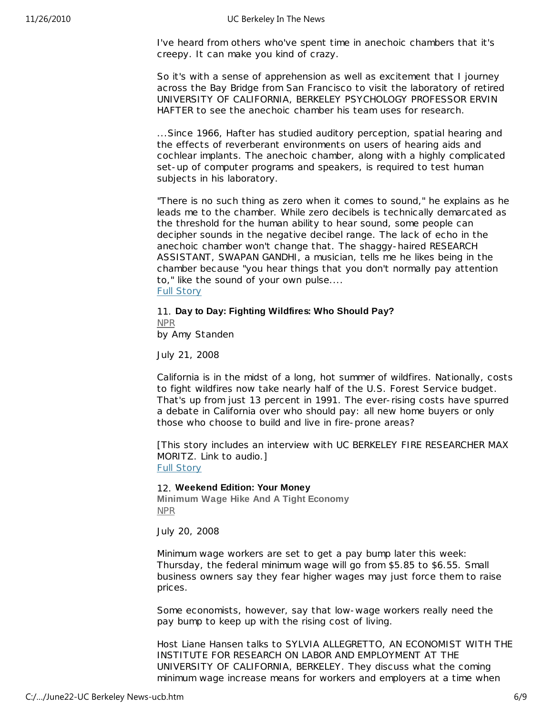I've heard from others who've spent time in anechoic chambers that it's creepy. It can make you kind of crazy.

So it's with a sense of apprehension as well as excitement that I journey across the Bay Bridge from San Francisco to visit the laboratory of retired UNIVERSITY OF CALIFORNIA, BERKELEY PSYCHOLOGY PROFESSOR ERVIN HAFTER to see the anechoic chamber his team uses for research.

...Since 1966, Hafter has studied auditory perception, spatial hearing and the effects of reverberant environments on users of hearing aids and cochlear implants. The anechoic chamber, along with a highly complicated set-up of computer programs and speakers, is required to test human subjects in his laboratory.

"There is no such thing as zero when it comes to sound," he explains as he leads me to the chamber. While zero decibels is technically demarcated as the threshold for the human ability to hear sound, some people can decipher sounds in the negative decibel range. The lack of echo in the anechoic chamber won't change that. The shaggy-haired RESEARCH ASSISTANT, SWAPAN GANDHI, a musician, tells me he likes being in the chamber because "you hear things that you don't normally pay attention to," like the sound of your own pulse.... Full Story

# 11. **Day to Day: Fighting Wildfires: Who Should Pay?** NPR

by Amy Standen

July 21, 2008

California is in the midst of a long, hot summer of wildfires. Nationally, costs to fight wildfires now take nearly half of the U.S. Forest Service budget. That's up from just 13 percent in 1991. The ever-rising costs have spurred a debate in California over who should pay: all new home buyers or only those who choose to build and live in fire-prone areas?

[This story includes an interview with UC BERKELEY FIRE RESEARCHER MAX MORITZ. Link to audio.] Full Story

## 12. **Weekend Edition: Your Money**

**Minimum Wage Hike And A Tight Economy** NPR

July 20, 2008

Minimum wage workers are set to get a pay bump later this week: Thursday, the federal minimum wage will go from \$5.85 to \$6.55. Small business owners say they fear higher wages may just force them to raise prices.

Some economists, however, say that low-wage workers really need the pay bump to keep up with the rising cost of living.

Host Liane Hansen talks to SYLVIA ALLEGRETTO, AN ECONOMIST WITH THE INSTITUTE FOR RESEARCH ON LABOR AND EMPLOYMENT AT THE UNIVERSITY OF CALIFORNIA, BERKELEY. They discuss what the coming minimum wage increase means for workers and employers at a time when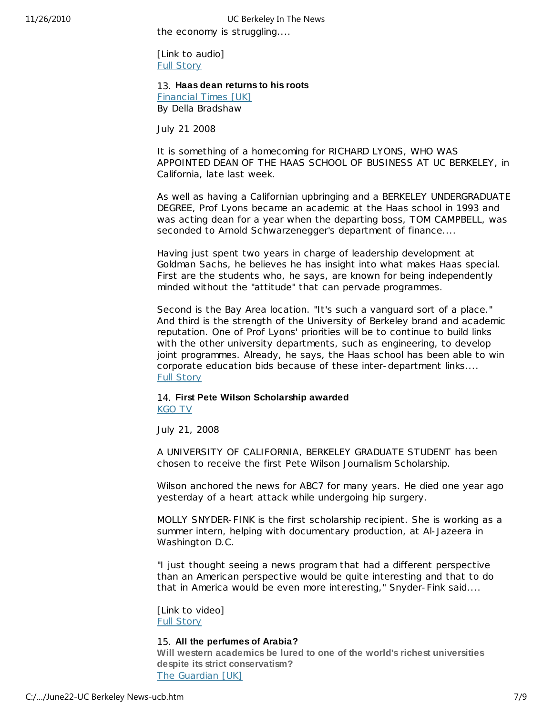the economy is struggling.... 11/26/2010 UC Berkeley In The News

> [Link to audio] Full Story

13. **Haas dean returns to his roots**

Financial Times [UK] By Della Bradshaw

July 21 2008

It is something of a homecoming for RICHARD LYONS, WHO WAS APPOINTED DEAN OF THE HAAS SCHOOL OF BUSINESS AT UC BERKELEY, in California, late last week.

As well as having a Californian upbringing and a BERKELEY UNDERGRADUATE DEGREE, Prof Lyons became an academic at the Haas school in 1993 and was acting dean for a year when the departing boss, TOM CAMPBELL, was seconded to Arnold Schwarzenegger's department of finance....

Having just spent two years in charge of leadership development at Goldman Sachs, he believes he has insight into what makes Haas special. First are the students who, he says, are known for being independently minded without the "attitude" that can pervade programmes.

Second is the Bay Area location. "It's such a vanguard sort of a place." And third is the strength of the University of Berkeley brand and academic reputation. One of Prof Lyons' priorities will be to continue to build links with the other university departments, such as engineering, to develop joint programmes. Already, he says, the Haas school has been able to win corporate education bids because of these inter-department links.... Full Story

# 14. **First Pete Wilson Scholarship awarded**

KGO TV

July 21, 2008

A UNIVERSITY OF CALIFORNIA, BERKELEY GRADUATE STUDENT has been chosen to receive the first Pete Wilson Journalism Scholarship.

Wilson anchored the news for ABC7 for many years. He died one year ago yesterday of a heart attack while undergoing hip surgery.

MOLLY SNYDER-FINK is the first scholarship recipient. She is working as a summer intern, helping with documentary production, at Al-Jazeera in Washington D.C.

"I just thought seeing a news program that had a different perspective than an American perspective would be quite interesting and that to do that in America would be even more interesting," Snyder-Fink said....

[Link to video] Full Story

## 15. **All the perfumes of Arabia?**

**Will western academics be lured to one of the world's richest universities despite its strict conservatism?** The Guardian [UK]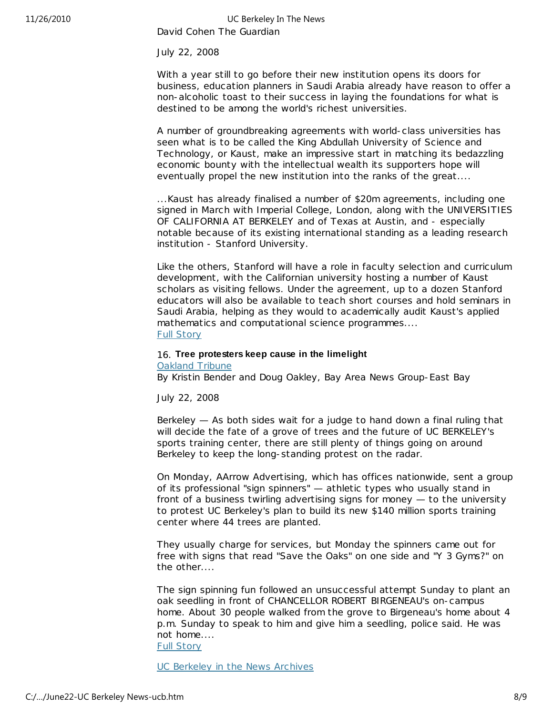David Cohen The Guardian 11/26/2010 UC Berkeley In The News

July 22, 2008

With a year still to go before their new institution opens its doors for business, education planners in Saudi Arabia already have reason to offer a non-alcoholic toast to their success in laying the foundations for what is destined to be among the world's richest universities.

A number of groundbreaking agreements with world-class universities has seen what is to be called the King Abdullah University of Science and Technology, or Kaust, make an impressive start in matching its bedazzling economic bounty with the intellec tual wealth its supporters hope will eventually propel the new institution into the ranks of the great....

...Kaust has already finalised a number of \$20m agreements, including one signed in March with Imperial College, London, along with the UNIVERSITIES OF CALIFORNIA AT BERKELEY and of Texas at Austin, and - especially notable because of its existing international standing as a leading research institution - Stanford University.

Like the others, Stanford will have a role in faculty selection and curriculum development, with the Californian university hosting a number of Kaust scholars as visiting fellows. Under the agreement, up to a dozen Stanford educators will also be available to teach short courses and hold seminars in Saudi Arabia, helping as they would to academically audit Kaust's applied mathematics and computational science programmes.... Full Story

### 16. **Tree protesters keep cause in the limelight** Oakland Tribune

By Kristin Bender and Doug Oakley, Bay Area News Group-East Bay

July 22, 2008

Berkeley — As both sides wait for a judge to hand down a final ruling that will decide the fate of a grove of trees and the future of UC BERKELEY's sports training center, there are still plenty of things going on around Berkeley to keep the long-standing protest on the radar.

On Monday, AArrow Advertising, which has offices nationwide, sent a group of its professional "sign spinners" — athletic types who usually stand in front of a business twirling advertising signs for money — to the university to protest UC Berkeley's plan to build its new \$140 million sports training center where 44 trees are planted.

They usually charge for services, but Monday the spinners came out for free with signs that read "Save the Oaks" on one side and "Y 3 Gyms?" on the other....

The sign spinning fun followed an unsuccessful attempt Sunday to plant an oak seedling in front of CHANCELLOR ROBERT BIRGENEAU's on-campus home. About 30 people walked from the grove to Birgeneau's home about 4 p.m. Sunday to speak to him and give him a seedling, police said. He was not home....

Full Story

UC Berkeley in the News Archives